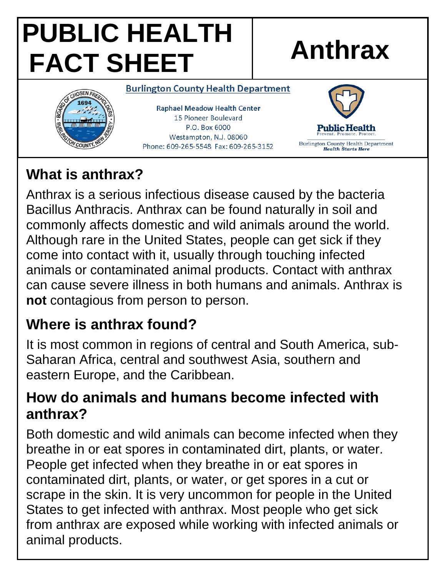# **PUBLIC HEALTH FACT SHEET Anthrax**



#### **Burlington County Health Department**

**Raphael Meadow Health Center** 15 Pioneer Boulevard P.O. Box 6000 Westampton, N.J. 08060 Phone: 609-265-5548 Fax: 609-265-3152



#### **What is anthrax?**

Anthrax is a serious infectious disease caused by the bacteria Bacillus Anthracis. Anthrax can be found naturally in soil and commonly affects domestic and wild animals around the world. Although rare in the United States, people can get sick if they come into contact with it, usually through touching infected animals or contaminated animal products. Contact with anthrax can cause severe illness in both humans and animals. Anthrax is **not** contagious from person to person.

### **Where is anthrax found?**

It is most common in regions of central and South America, sub-Saharan Africa, central and southwest Asia, southern and eastern Europe, and the Caribbean.

#### **How do animals and humans become infected with anthrax?**

Both domestic and wild animals can become infected when they breathe in or eat spores in contaminated dirt, plants, or water. People get infected when they breathe in or eat spores in contaminated dirt, plants, or water, or get spores in a cut or scrape in the skin. It is very uncommon for people in the United States to get infected with anthrax. Most people who get sick from anthrax are exposed while working with infected animals or animal products.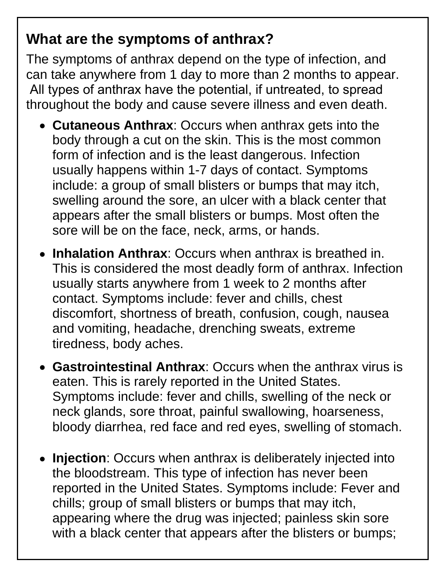#### **What are the symptoms of anthrax?**

The symptoms of anthrax depend on the type of infection, and can take anywhere from 1 day to more than 2 months to appear. All types of anthrax have the potential, if untreated, to spread throughout the body and cause severe illness and even death.

- **Cutaneous Anthrax**: Occurs when anthrax gets into the body through a cut on the skin. This is the most common form of infection and is the least dangerous. Infection usually happens within 1-7 days of contact. Symptoms include: a group of small blisters or bumps that may itch, swelling around the sore, an ulcer with a black center that appears after the small blisters or bumps. Most often the sore will be on the face, neck, arms, or hands.
- **Inhalation Anthrax**: Occurs when anthrax is breathed in. This is considered the most deadly form of anthrax. Infection usually starts anywhere from 1 week to 2 months after contact. Symptoms include: fever and chills, chest discomfort, shortness of breath, confusion, cough, nausea and vomiting, headache, drenching sweats, extreme tiredness, body aches.
- **Gastrointestinal Anthrax**: Occurs when the anthrax virus is eaten. This is rarely reported in the United States. Symptoms include: fever and chills, swelling of the neck or neck glands, sore throat, painful swallowing, hoarseness, bloody diarrhea, red face and red eyes, swelling of stomach.
- **Injection**: Occurs when anthrax is deliberately injected into the bloodstream. This type of infection has never been reported in the United States. Symptoms include: Fever and chills; group of small blisters or bumps that may itch, appearing where the drug was injected; painless skin sore with a black center that appears after the blisters or bumps;